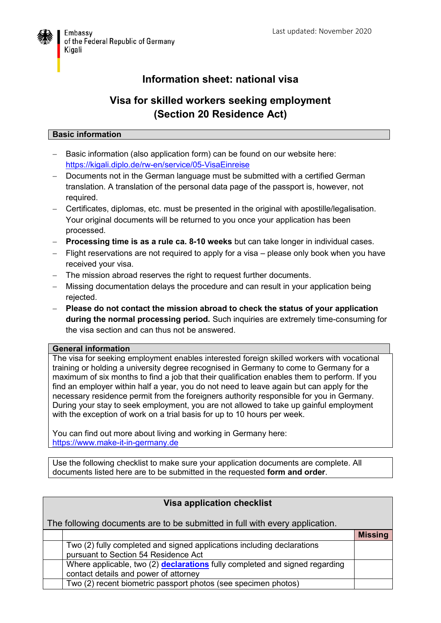

## **Information sheet: national visa**

## **Visa for skilled workers seeking employment (Section 20 Residence Act)**

## **Basic information**

- Basic information (also application form) can be found on our website here: <https://kigali.diplo.de/rw-en/service/05-VisaEinreise>
- Documents not in the German language must be submitted with a certified German translation. A translation of the personal data page of the passport is, however, not required.
- Certificates, diplomas, etc. must be presented in the original with apostille/legalisation. Your original documents will be returned to you once your application has been processed.
- **Processing time is as a rule ca. 8-10 weeks** but can take longer in individual cases.
- Flight reservations are not required to apply for a visa please only book when you have received your visa.
- The mission abroad reserves the right to request further documents.
- Missing documentation delays the procedure and can result in your application being rejected.
- **Please do not contact the mission abroad to check the status of your application during the normal processing period.** Such inquiries are extremely time-consuming for the visa section and can thus not be answered.

## **General information**

The visa for seeking employment enables interested foreign skilled workers with vocational training or holding a university degree recognised in Germany to come to Germany for a maximum of six months to find a job that their qualification enables them to perform. If you find an employer within half a year, you do not need to leave again but can apply for the necessary residence permit from the foreigners authority responsible for you in Germany. During your stay to seek employment, you are not allowed to take up gainful employment with the exception of work on a trial basis for up to 10 hours per week.

You can find out more about living and working in Germany here: [https://www.make-it-in-germany.de](https://www.make-it-in-germany.de/)

Use the following checklist to make sure your application documents are complete. All documents listed here are to be submitted in the requested **form and order**.

| <b>Visa application checklist</b>                                                                                    |                |  |  |  |
|----------------------------------------------------------------------------------------------------------------------|----------------|--|--|--|
| The following documents are to be submitted in full with every application.                                          |                |  |  |  |
|                                                                                                                      | <b>Missing</b> |  |  |  |
| Two (2) fully completed and signed applications including declarations<br>pursuant to Section 54 Residence Act       |                |  |  |  |
| Where applicable, two (2) declarations fully completed and signed regarding<br>contact details and power of attorney |                |  |  |  |
| Two (2) recent biometric passport photos (see specimen photos)                                                       |                |  |  |  |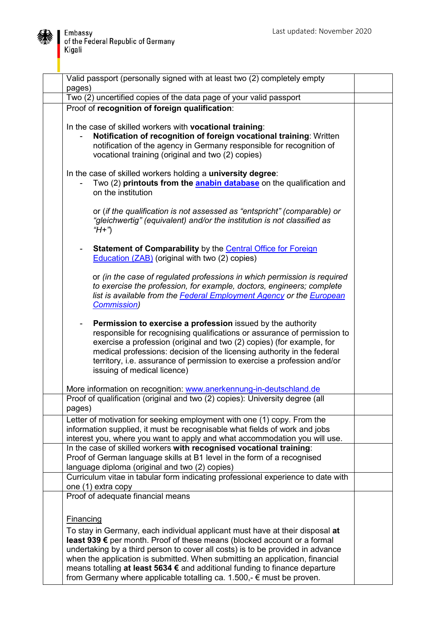

| Valid passport (personally signed with at least two (2) completely empty<br>pages)                                                                                                                                                                                                                                                                                                                                                                                                          |  |
|---------------------------------------------------------------------------------------------------------------------------------------------------------------------------------------------------------------------------------------------------------------------------------------------------------------------------------------------------------------------------------------------------------------------------------------------------------------------------------------------|--|
| Two (2) uncertified copies of the data page of your valid passport                                                                                                                                                                                                                                                                                                                                                                                                                          |  |
| Proof of recognition of foreign qualification:                                                                                                                                                                                                                                                                                                                                                                                                                                              |  |
| In the case of skilled workers with vocational training:<br>Notification of recognition of foreign vocational training: Written<br>notification of the agency in Germany responsible for recognition of<br>vocational training (original and two (2) copies)                                                                                                                                                                                                                                |  |
| In the case of skilled workers holding a university degree:<br>Two (2) printouts from the <b>anabin database</b> on the qualification and<br>on the institution                                                                                                                                                                                                                                                                                                                             |  |
| or (if the qualification is not assessed as "entspricht" (comparable) or<br>"gleichwertig" (equivalent) and/or the institution is not classified as<br>"H+")                                                                                                                                                                                                                                                                                                                                |  |
| <b>Statement of Comparability</b> by the <b>Central Office for Foreign</b><br>$\overline{\phantom{0}}$<br>Education (ZAB) (original with two (2) copies)                                                                                                                                                                                                                                                                                                                                    |  |
| or (in the case of regulated professions in which permission is required<br>to exercise the profession, for example, doctors, engineers; complete<br>list is available from the Federal Employment Agency or the European<br><b>Commission</b> )                                                                                                                                                                                                                                            |  |
| Permission to exercise a profession issued by the authority<br>responsible for recognising qualifications or assurance of permission to<br>exercise a profession (original and two (2) copies) (for example, for<br>medical professions: decision of the licensing authority in the federal<br>territory, i.e. assurance of permission to exercise a profession and/or<br>issuing of medical licence)                                                                                       |  |
| More information on recognition: www.anerkennung-in-deutschland.de                                                                                                                                                                                                                                                                                                                                                                                                                          |  |
| Proof of qualification (original and two (2) copies): University degree (all<br>pages)                                                                                                                                                                                                                                                                                                                                                                                                      |  |
| Letter of motivation for seeking employment with one (1) copy. From the<br>information supplied, it must be recognisable what fields of work and jobs<br>interest you, where you want to apply and what accommodation you will use.                                                                                                                                                                                                                                                         |  |
| In the case of skilled workers with recognised vocational training:<br>Proof of German language skills at B1 level in the form of a recognised<br>language diploma (original and two (2) copies)                                                                                                                                                                                                                                                                                            |  |
| Curriculum vitae in tabular form indicating professional experience to date with<br>one (1) extra copy                                                                                                                                                                                                                                                                                                                                                                                      |  |
| Proof of adequate financial means                                                                                                                                                                                                                                                                                                                                                                                                                                                           |  |
| <b>Financing</b>                                                                                                                                                                                                                                                                                                                                                                                                                                                                            |  |
| To stay in Germany, each individual applicant must have at their disposal at<br>least 939 € per month. Proof of these means (blocked account or a formal<br>undertaking by a third person to cover all costs) is to be provided in advance<br>when the application is submitted. When submitting an application, financial<br>means totalling at least 5634 € and additional funding to finance departure<br>from Germany where applicable totalling ca. 1.500,- $\epsilon$ must be proven. |  |